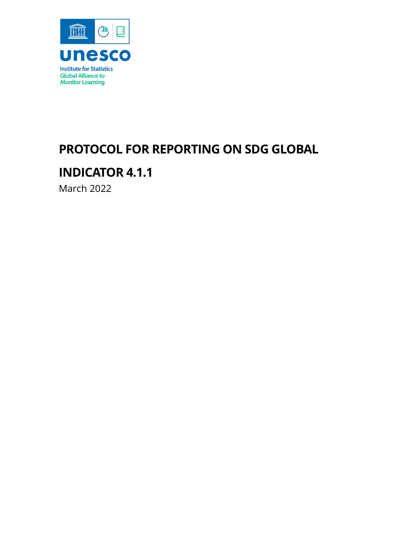

# <span id="page-0-0"></span>**PROTOCOL FOR REPORTING ON SDG GLOBAL**

# **INDICATOR 4.1.1**

March 2022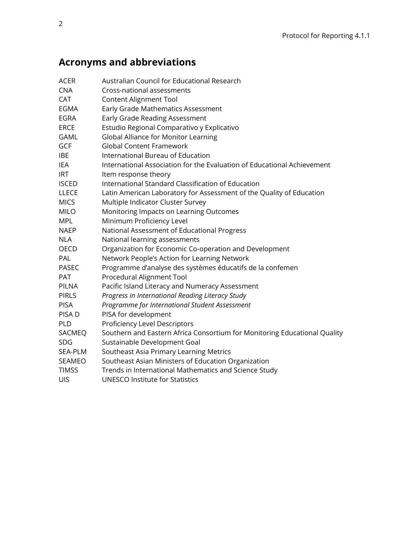# **Acronyms and abbreviations**

| <b>ACER</b>   | Australian Council for Educational Research                               |
|---------------|---------------------------------------------------------------------------|
| <b>CNA</b>    | Cross-national assessments                                                |
| <b>CAT</b>    | <b>Content Alignment Tool</b>                                             |
| <b>EGMA</b>   | Early Grade Mathematics Assessment                                        |
| <b>EGRA</b>   | Early Grade Reading Assessment                                            |
| <b>ERCE</b>   | Estudio Regional Comparativo y Explicativo                                |
| <b>GAML</b>   | Global Alliance for Monitor Learning                                      |
| <b>GCF</b>    | <b>Global Content Framework</b>                                           |
| <b>IBE</b>    | International Bureau of Education                                         |
| <b>IEA</b>    | International Association for the Evaluation of Educational Achievement   |
| <b>IRT</b>    | Item response theory                                                      |
| <b>ISCED</b>  | International Standard Classification of Education                        |
| <b>LLECE</b>  | Latin American Laboratory for Assessment of the Quality of Education      |
| <b>MICS</b>   | Multiple Indicator Cluster Survey                                         |
| <b>MILO</b>   | Monitoring Impacts on Learning Outcomes                                   |
| <b>MPL</b>    | Minimum Proficiency Level                                                 |
| <b>NAEP</b>   | National Assessment of Educational Progress                               |
| <b>NLA</b>    | National learning assessments                                             |
| <b>OECD</b>   | Organization for Economic Co-operation and Development                    |
| PAL           | Network People's Action for Learning Network                              |
| <b>PASEC</b>  | Programme d'analyse des systèmes éducatifs de la confemen                 |
| PAT           | Procedural Alignment Tool                                                 |
| <b>PILNA</b>  | Pacific Island Literacy and Numeracy Assessment                           |
| <b>PIRLS</b>  | Progress in International Reading Literacy Study                          |
| <b>PISA</b>   | Programme for International Student Assessment                            |
| PISA D        | PISA for development                                                      |
| PLD           | Proficiency Level Descriptors                                             |
| SACMEQ        | Southern and Eastern Africa Consortium for Monitoring Educational Quality |
| <b>SDG</b>    | Sustainable Development Goal                                              |
| SEA-PLM       | Southeast Asia Primary Learning Metrics                                   |
| <b>SEAMEO</b> | Southeast Asian Ministers of Education Organization                       |
| <b>TIMSS</b>  | Trends in International Mathematics and Science Study                     |
| UIS           | <b>UNESCO Institute for Statistics</b>                                    |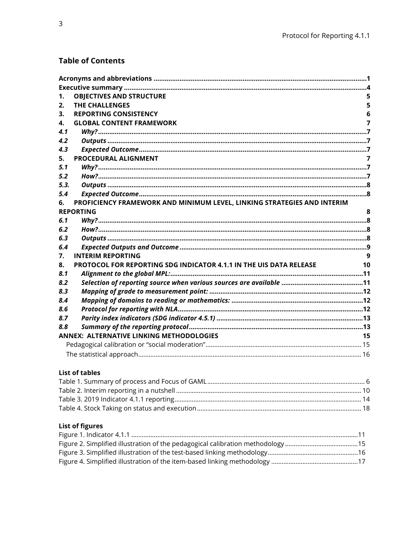## **Table of Contents**

| 1.   | <b>OBJECTIVES AND STRUCTURE</b>                                         |    |
|------|-------------------------------------------------------------------------|----|
| 2.   | <b>THE CHALLENGES</b>                                                   | 5  |
| 3.   | <b>REPORTING CONSISTENCY</b>                                            | 6  |
| 4.   | <b>GLOBAL CONTENT FRAMEWORK</b>                                         | 7  |
| 4.1  |                                                                         |    |
| 4.2  |                                                                         |    |
| 4.3  |                                                                         |    |
| 5.   | PROCEDURAL ALIGNMENT                                                    | 7  |
| 5.1  |                                                                         |    |
| 5.2  |                                                                         |    |
| 5.3. |                                                                         |    |
| 5.4  |                                                                         |    |
| 6.   | PROFICIENCY FRAMEWORK AND MINIMUM LEVEL, LINKING STRATEGIES AND INTERIM |    |
|      | <b>REPORTING</b>                                                        | 8  |
| 6.1  |                                                                         |    |
| 6.2  |                                                                         |    |
| 6.3  |                                                                         |    |
| 6.4  |                                                                         |    |
| 7.   | <b>INTERIM REPORTING</b>                                                | q  |
| 8.   | PROTOCOL FOR REPORTING SDG INDICATOR 4.1.1 IN THE UIS DATA RELEASE      | 10 |
| 8.1  |                                                                         |    |
| 8.2  |                                                                         |    |
| 8.3  |                                                                         |    |
| 8.4  |                                                                         |    |
| 8.6  |                                                                         |    |
| 8.7  |                                                                         |    |
| 8.8  |                                                                         |    |
|      | <b>ANNEX: ALTERNATIVE LINKING METHODOLOGIES</b>                         | 15 |
|      |                                                                         |    |
|      |                                                                         |    |
|      |                                                                         |    |

# **List of tables**

# **List of figures**

<span id="page-2-0"></span>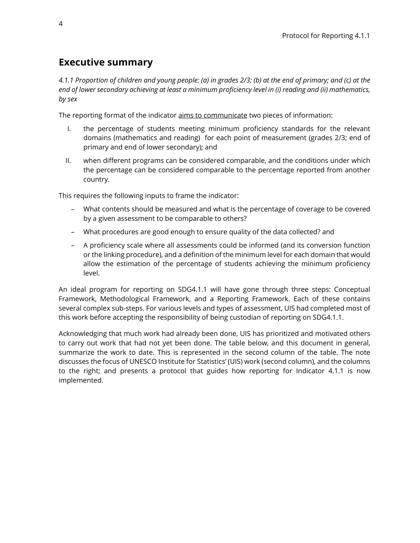# **Executive summary**

*4.1.1 Proportion of children and young people: (a) in grades 2/3; (b) at the end of primary; and (c) at the end of lower secondary achieving at least a minimum proficiency level in (i) reading and (ii) mathematics, by sex*

The reporting format of the indicator aims to communicate two pieces of information:

- I. the percentage of students meeting minimum proficiency standards for the relevant domains (mathematics and reading) for each point of measurement (grades 2/3; end of primary and end of lower secondary); and
- II. when different programs can be considered comparable, and the conditions under which the percentage can be considered comparable to the percentage reported from another country.

This requires the following inputs to frame the indicator:

- What contents should be measured and what is the percentage of coverage to be covered by a given assessment to be comparable to others?
- What procedures are good enough to ensure quality of the data collected? and
- A proficiency scale where all assessments could be informed (and its conversion function or the linking procedure), and a definition of the minimum level for each domain that would allow the estimation of the percentage of students achieving the minimum proficiency level.

An ideal program for reporting on SDG4.1.1 will have gone through three steps: Conceptual Framework, Methodological Framework, and a Reporting Framework. Each of these contains several complex sub-steps. For various levels and types of assessment, UIS had completed most of this work before accepting the responsibility of being custodian of reporting on SDG4.1.1.

Acknowledging that much work had already been done, UIS has prioritized and motivated others to carry out work that had not yet been done. The table below, and this document in general, summarize the work to date. This is represented in the second column of the table. The note discusses the focus of UNESCO Institute for Statistics' (UIS) work (second column), and the columns to the right; and presents a protocol that guides how reporting for Indicator 4.1.1 is now implemented.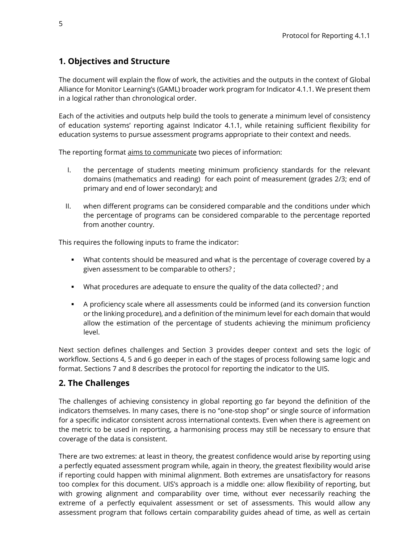# <span id="page-4-0"></span>**1. Objectives and Structure**

The document will explain the flow of work, the activities and the outputs in the context of Global Alliance for Monitor Learning's (GAML) broader work program for Indicator 4.1.1. We present them in a logical rather than chronological order.

Each of the activities and outputs help build the tools to generate a minimum level of consistency of education systems' reporting against Indicator 4.1.1, while retaining sufficient flexibility for education systems to pursue assessment programs appropriate to their context and needs.

The reporting format aims to communicate two pieces of information:

- I. the percentage of students meeting minimum proficiency standards for the relevant domains (mathematics and reading) for each point of measurement (grades 2/3; end of primary and end of lower secondary); and
- II. when different programs can be considered comparable and the conditions under which the percentage of programs can be considered comparable to the percentage reported from another country.

This requires the following inputs to frame the indicator:

- What contents should be measured and what is the percentage of coverage covered by a given assessment to be comparable to others? ;
- What procedures are adequate to ensure the quality of the data collected? ; and
- A proficiency scale where all assessments could be informed (and its conversion function or the linking procedure), and a definition of the minimum level for each domain that would allow the estimation of the percentage of students achieving the minimum proficiency level.

Next section defines challenges and Section 3 provides deeper context and sets the logic of workflow. Sections 4, 5 and 6 go deeper in each of the stages of process following same logic and format. Sections 7 and 8 describes the protocol for reporting the indicator to the UIS.

# <span id="page-4-1"></span>**2. The Challenges**

The challenges of achieving consistency in global reporting go far beyond the definition of the indicators themselves. In many cases, there is no "one-stop shop" or single source of information for a specific indicator consistent across international contexts. Even when there is agreement on the metric to be used in reporting, a harmonising process may still be necessary to ensure that coverage of the data is consistent.

There are two extremes: at least in theory, the greatest confidence would arise by reporting using a perfectly equated assessment program while, again in theory, the greatest flexibility would arise if reporting could happen with minimal alignment. Both extremes are unsatisfactory for reasons too complex for this document. UIS's approach is a middle one: allow flexibility of reporting, but with growing alignment and comparability over time, without ever necessarily reaching the extreme of a perfectly equivalent assessment or set of assessments. This would allow any assessment program that follows certain comparability guides ahead of time, as well as certain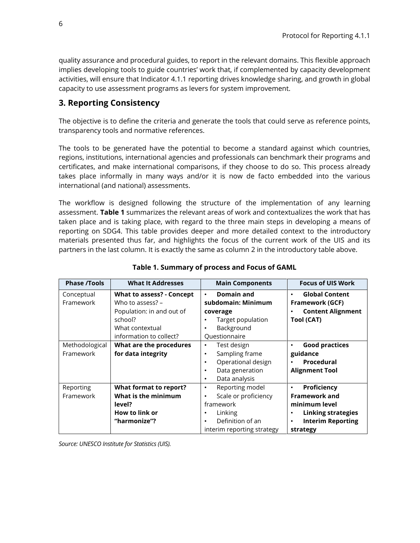quality assurance and procedural guides, to report in the relevant domains. This flexible approach implies developing tools to guide countries' work that, if complemented by capacity development activities, will ensure that Indicator 4.1.1 reporting drives knowledge sharing, and growth in global capacity to use assessment programs as levers for system improvement.

## <span id="page-5-0"></span>**3. Reporting Consistency**

The objective is to define the criteria and generate the tools that could serve as reference points, transparency tools and normative references.

The tools to be generated have the potential to become a standard against which countries, regions, institutions, international agencies and professionals can benchmark their programs and certificates, and make international comparisons, if they choose to do so. This process already takes place informally in many ways and/or it is now de facto embedded into the various international (and national) assessments.

The workflow is designed following the structure of the implementation of any learning assessment. **Table 1** summarizes the relevant areas of work and contextualizes the work that has taken place and is taking place, with regard to the three main steps in developing a means of reporting on SDG4. This table provides deeper and more detailed context to the introductory materials presented thus far, and highlights the focus of the current work of the UIS and its partners in the last column. It is exactly the same as column 2 in the introductory table above.

<span id="page-5-1"></span>

| <b>Phase /Tools</b> | <b>What It Addresses</b>         | <b>Main Components</b>            | <b>Focus of UIS Work</b>              |
|---------------------|----------------------------------|-----------------------------------|---------------------------------------|
| Conceptual          | <b>What to assess? - Concept</b> | Domain and<br>$\bullet$           | <b>Global Content</b><br>$\bullet$    |
| Framework           | Who to assess? $-$               | subdomain: Minimum                | <b>Framework (GCF)</b>                |
|                     | Population: in and out of        | coverage                          | <b>Content Alignment</b>              |
|                     | school?                          | Target population                 | Tool (CAT)                            |
|                     | What contextual                  | Background<br>٠                   |                                       |
|                     | information to collect?          | Questionnaire                     |                                       |
| Methodological      | What are the procedures          | Test design<br>$\bullet$          | <b>Good practices</b><br>٠            |
| Framework           | for data integrity               | Sampling frame<br>$\bullet$       | guidance                              |
|                     |                                  | Operational design<br>$\bullet$   | Procedural                            |
|                     |                                  | Data generation<br>$\bullet$      | <b>Alignment Tool</b>                 |
|                     |                                  | Data analysis<br>$\bullet$        |                                       |
| Reporting           | What format to report?           | Reporting model<br>$\bullet$      | Proficiency<br>٠                      |
| Framework           | What is the minimum              | Scale or proficiency<br>$\bullet$ | <b>Framework and</b>                  |
|                     | level?                           | framework                         | minimum level                         |
|                     | How to link or                   | Linking<br>٠                      | <b>Linking strategies</b><br>٠        |
|                     | "harmonize"?                     | Definition of an<br>$\bullet$     | <b>Interim Reporting</b><br>$\bullet$ |
|                     |                                  | interim reporting strategy        | strategy                              |

#### **Table 1. Summary of process and Focus of GAML**

*Source: UNESCO Institute for Statistics (UIS).*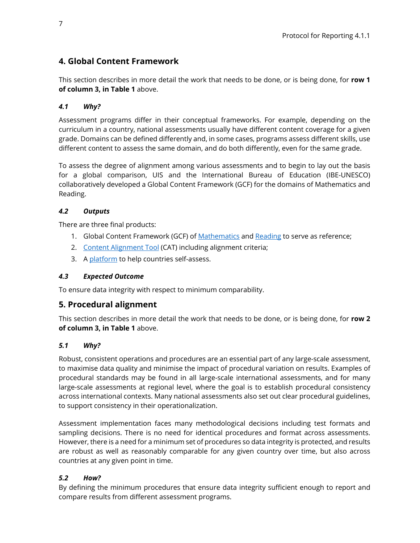# <span id="page-6-0"></span>**4. Global Content Framework**

This section describes in more detail the work that needs to be done, or is being done, for **row 1 of column 3, in Table 1** above.

## <span id="page-6-1"></span>*4.1 Why?*

Assessment programs differ in their conceptual frameworks. For example, depending on the curriculum in a country, national assessments usually have different content coverage for a given grade. Domains can be defined differently and, in some cases, programs assess different skills, use different content to assess the same domain, and do both differently, even for the same grade.

To assess the degree of alignment among various assessments and to begin to lay out the basis for a global comparison, UIS and the International Bureau of Education (IBE-UNESCO) collaboratively developed a Global Content Framework (GCF) for the domains of Mathematics and Reading.

## <span id="page-6-2"></span>*4.2 Outputs*

There are three final products:

- 1. Global Content Framework (GCF) of [Mathematics](https://drive.google.com/file/d/13IUyzgpBRVq88bwtJOl8OzfP87ppYEVA/view?usp=sharing) and [Reading](https://drive.google.com/file/d/15fkRuNX_024ndbmDFXhDmnfMwzd4Cb-W/view?usp=sharing) to serve as reference;
- 2. [Content Alignment Tool](https://drive.google.com/file/d/1wCykpVIhT-9UZbDpAUQoaZOBa3YCG64I/view?usp=sharing) (CAT) including alignment criteria;
- 3. [A platform](https://uis-azr-prod-cat-eus1.azurewebsites.net/) to help countries self-assess.

## <span id="page-6-3"></span>*4.3 Expected Outcome*

To ensure data integrity with respect to minimum comparability.

## <span id="page-6-4"></span>**5. Procedural alignment**

This section describes in more detail the work that needs to be done, or is being done, for **row 2 of column 3, in Table 1** above.

## <span id="page-6-5"></span>*5.1 Why?*

Robust, consistent operations and procedures are an essential part of any large-scale assessment, to maximise data quality and minimise the impact of procedural variation on results. Examples of procedural standards may be found in all large-scale international assessments, and for many large-scale assessments at regional level, where the goal is to establish procedural consistency across international contexts. Many national assessments also set out clear procedural guidelines, to support consistency in their operationalization.

Assessment implementation faces many methodological decisions including test formats and sampling decisions. There is no need for identical procedures and format across assessments. However, there is a need for a minimum set of procedures so data integrity is protected, and results are robust as well as reasonably comparable for any given country over time, but also across countries at any given point in time.

## <span id="page-6-6"></span>*5.2 How?*

By defining the minimum procedures that ensure data integrity sufficient enough to report and compare results from different assessment programs.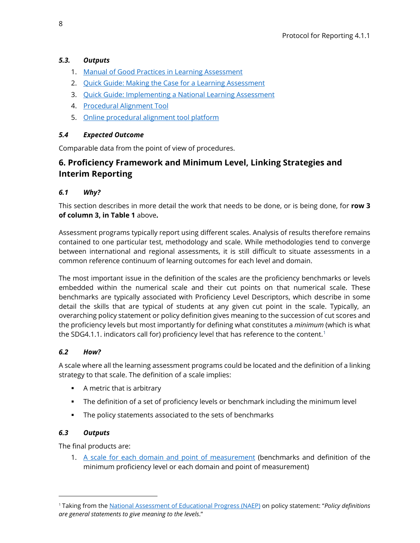### <span id="page-7-0"></span>*5.3. Outputs*

- 1. [Manual of Good Practices in Learning Assessment](http://uis.unesco.org/sites/default/files/documents/principles-good-practice-learning-assessments-2017-en.pdf)
- 2. [Quick Guide: Making the Case for a Learning Assessment](http://uis.unesco.org/sites/default/files/documents/quick-guide2-making-case-learning-assessments-2018-en_2.pdf)
- 3. [Quick Guide: Implementing a National Learning Assessment](http://uis.unesco.org/sites/default/files/documents/quick-guide-3-implementing-national-learning-assessment.pdf)
- 4. [Procedural Alignment Tool](https://drive.google.com/file/d/1eeck2tug7pGlLiJmMcNdPx8nYYvlCHGt/view?usp=sharing)
- 5. Online procedural alignment tool [platform](https://www.research.net/r/ProceduralAlignment_draft3)

#### <span id="page-7-1"></span>*5.4 Expected Outcome*

Comparable data from the point of view of procedures.

# <span id="page-7-2"></span>**6. Proficiency Framework and Minimum Level, Linking Strategies and Interim Reporting**

### <span id="page-7-3"></span>*6.1 Why?*

This section describes in more detail the work that needs to be done, or is being done, for **row 3 of column 3, in Table 1** above**.**

Assessment programs typically report using different scales. Analysis of results therefore remains contained to one particular test, methodology and scale. While methodologies tend to converge between international and regional assessments, it is still difficult to situate assessments in a common reference continuum of learning outcomes for each level and domain.

The most important issue in the definition of the scales are the proficiency benchmarks or levels embedded within the numerical scale and their cut points on that numerical scale. These benchmarks are typically associated with Proficiency Level Descriptors, which describe in some detail the skills that are typical of students at any given cut point in the scale. Typically, an overarching policy statement or policy definition gives meaning to the succession of cut scores and the proficiency levels but most importantly for defining what constitutes a *minimum* (which is what the SDG4[.1](#page-7-6).1. indicators call for) proficiency level that has reference to the content.<sup>1</sup>

#### <span id="page-7-4"></span>*6.2 How?*

A scale where all the learning assessment programs could be located and the definition of a linking strategy to that scale. The definition of a scale implies:

- A metric that is arbitrary
- The definition of a set of proficiency levels or benchmark including the minimum level
- The policy statements associated to the sets of benchmarks

#### <span id="page-7-5"></span>*6.3 Outputs*

The final products are:

1. A [scale for each domain and point of measurement](http://gaml.uis.unesco.org/wp-content/uploads/sites/2/2019/02/ProfScale-ReadingMath-Graphs.pdf) (benchmarks and definition of the minimum proficiency level or each domain and point of measurement)

<span id="page-7-6"></span><sup>1</sup> Taking from th[e National Assessment of Educational Progress \(NAEP\)](https://nces.ed.gov/nationsreportcard/) on policy statement: "*Policy definitions are general statements to give meaning to the levels*."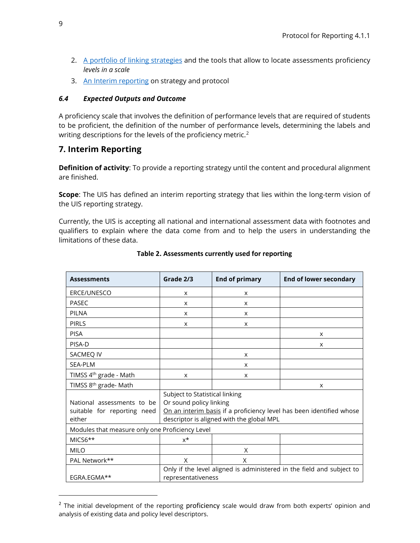- 2. [A portfolio of linking strategies](http://uis.unesco.org/sites/default/files/documents/ip53-costs-benefits-approaches-measuring-proficiency-2019-en.pdf) and the tools that allow to locate assessments proficiency *levels in a scale*
- 3. An [Interim reporting](http://uis.unesco.org/sites/default/files/documents/gaml4-framework-interim-reporting.pdf) on strategy and protocol

### <span id="page-8-0"></span>*6.4 Expected Outputs and Outcome*

A proficiency scale that involves the definition of performance levels that are required of students to be proficient, the definition of the number of performance levels, determining the labels and writing descriptions for the levels of the proficiency metric.<sup>2</sup>

# <span id="page-8-1"></span>**7. Interim Reporting**

**Definition of activity**: To provide a reporting strategy until the content and procedural alignment are finished.

**Scope**: The UIS has defined an interim reporting strategy that lies within the long-term vision of the UIS reporting strategy.

Currently, the UIS is accepting all national and international assessment data with footnotes and qualifiers to explain where the data come from and to help the users in understanding the limitations of these data.

| <b>Assessments</b>                              | Grade 2/3                                                             | <b>End of primary</b> | <b>End of lower secondary</b> |  |  |
|-------------------------------------------------|-----------------------------------------------------------------------|-----------------------|-------------------------------|--|--|
| ERCE/UNESCO                                     | X                                                                     | x                     |                               |  |  |
| <b>PASEC</b>                                    | X                                                                     | X                     |                               |  |  |
| <b>PILNA</b>                                    | X                                                                     | X                     |                               |  |  |
| <b>PIRLS</b>                                    | X                                                                     | X                     |                               |  |  |
| <b>PISA</b>                                     |                                                                       |                       | X                             |  |  |
| PISA-D                                          |                                                                       |                       | X                             |  |  |
| SACMEQ IV                                       |                                                                       | X                     |                               |  |  |
| <b>SEA-PLM</b>                                  |                                                                       | X                     |                               |  |  |
| TIMSS 4 <sup>th</sup> grade - Math              | X                                                                     | X                     |                               |  |  |
| TIMSS 8 <sup>th</sup> grade- Math               |                                                                       |                       | X                             |  |  |
|                                                 | Subject to Statistical linking                                        |                       |                               |  |  |
| National assessments to be                      | Or sound policy linking                                               |                       |                               |  |  |
| suitable for reporting need                     | On an interim basis if a proficiency level has been identified whose  |                       |                               |  |  |
| either                                          | descriptor is aligned with the global MPL                             |                       |                               |  |  |
| Modules that measure only one Proficiency Level |                                                                       |                       |                               |  |  |
| MICS6**                                         | $x^*$                                                                 |                       |                               |  |  |
| MII O                                           |                                                                       | X                     |                               |  |  |
| PAL Network**                                   | X                                                                     | X                     |                               |  |  |
|                                                 | Only if the level aligned is administered in the field and subject to |                       |                               |  |  |
| EGRA.EGMA**                                     | representativeness                                                    |                       |                               |  |  |

#### **Table 2. Assessments currently used for reporting**

<span id="page-8-2"></span> $2$  The initial development of the reporting proficiency scale would draw from both experts' opinion and analysis of existing data and policy level descriptors.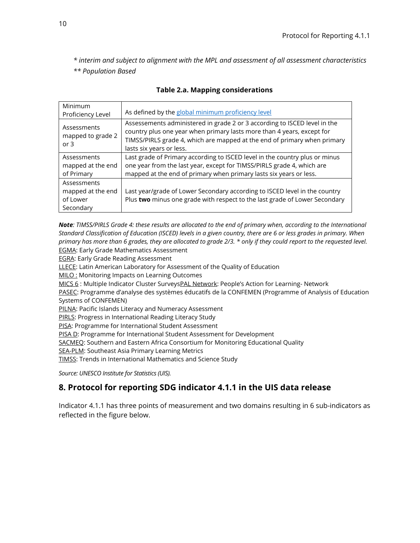<span id="page-9-1"></span>*\* interim and subject to alignment with the MPL and assessment of all assessment characteristics \*\* Population Based*

| Minimum                                                   | As defined by the global minimum proficiency level                                                                                                                                                                                                          |
|-----------------------------------------------------------|-------------------------------------------------------------------------------------------------------------------------------------------------------------------------------------------------------------------------------------------------------------|
| Proficiency Level                                         |                                                                                                                                                                                                                                                             |
| Assessments<br>mapped to grade 2<br>or $3$                | Assessements administered in grade 2 or 3 according to ISCED level in the<br>country plus one year when primary lasts more than 4 years, except for<br>TIMSS/PIRLS grade 4, which are mapped at the end of primary when primary<br>lasts six years or less. |
| Assessments<br>mapped at the end<br>of Primary            | Last grade of Primary according to ISCED level in the country plus or minus<br>one year from the last year, except for TIMSS/PIRLS grade 4, which are<br>mapped at the end of primary when primary lasts six years or less.                                 |
| Assessments<br>mapped at the end<br>of Lower<br>Secondary | Last year/grade of Lower Secondary according to ISCED level in the country<br>Plus two minus one grade with respect to the last grade of Lower Secondary                                                                                                    |

#### **Table 2.a. Mapping considerations**

*Note: TIMSS/PIRLS Grade 4: these results are allocated to the end of primary when, according to the International Standard Classification of Education (ISCED) levels in a given country, there are 6 or less grades in primary. When primary has more than 6 grades, they are allocated to grade 2/3. \* only if they could report to the requested level.*  EGMA: Early Grade Mathematics Assessment

EGRA: Early Grade Reading Assessment

LLECE: Latin American Laboratory for Assessment of the Quality of Education

**MILO:** Monitoring Impacts on Learning Outcomes

MICS 6 : Multiple Indicator Cluster SurveysPAL Network: People's Action for Learning- Network

PASEC: Programme d'analyse des systèmes éducatifs de la CONFEMEN (Programme of Analysis of Education Systems of CONFEMEN)

PILNA: Pacific Islands Literacy and Numeracy Assessment

PIRLS: Progress in International Reading Literacy Study

PISA: Programme for International Student Assessment

PISA D: Programme for International Student Assessment for Development

SACMEQ: Southern and Eastern Africa Consortium for Monitoring Educational Quality

SEA-PLM: Southeast Asia Primary Learning Metrics

TIMSS: Trends in International Mathematics and Science Study

*Source: UNESCO Institute for Statistics (UIS).*

# <span id="page-9-0"></span>**8. Protocol for reporting SDG indicator 4.1.1 in the UIS data release**

Indicator 4.1.1 has three points of measurement and two domains resulting in 6 sub-indicators as reflected in the figure below.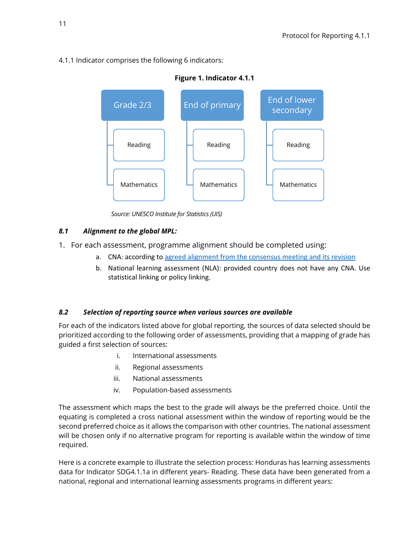## 4.1.1 Indicator comprises the following 6 indicators:



*Source: UNESCO Institute for Statistics (UIS)*

## <span id="page-10-0"></span>*8.1 Alignment to the global MPL:*

1. For each assessment, programme alignment should be completed using:

- a. CNA: according to [agreed alignment](http://gaml.uis.unesco.org/wp-content/uploads/sites/2/2021/03/Minimum-Proficiency-Levels-MPLs.pdf) from the consensu[s meeting](http://gaml.uis.unesco.org/wp-content/uploads/sites/2/2018/12/4.1.1_29_Consensus-building-meeting-package.pdf) and its revision
- b. National learning assessment (NLA): provided country does not have any CNA. Use statistical linking or policy linking.

## <span id="page-10-1"></span>*8.2 Selection of reporting source when various sources are available*

For each of the indicators listed above for global reporting, the sources of data selected should be prioritized according to the following order of assessments, providing that a mapping of grade has guided a first selection of sources:

- i. International assessments
- ii. Regional assessments
- iii. National assessments
- iv. Population-based assessments

The assessment which maps the best to the grade will always be the preferred choice. Until the equating is completed a cross national assessment within the window of reporting would be the second preferred choice as it allows the comparison with other countries. The national assessment will be chosen only if no alternative program for reporting is available within the window of time required.

Here is a concrete example to illustrate the selection process: Honduras has learning assessments data for Indicator SDG4.1.1a in different years- Reading. These data have been generated from a national, regional and international learning assessments programs in different years: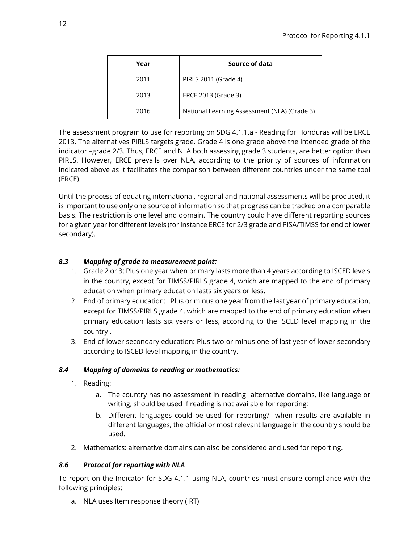| Year | Source of data                               |  |  |
|------|----------------------------------------------|--|--|
| 2011 | PIRLS 2011 (Grade 4)                         |  |  |
| 2013 | ERCE 2013 (Grade 3)                          |  |  |
| 2016 | National Learning Assessment (NLA) (Grade 3) |  |  |

The assessment program to use for reporting on SDG 4.1.1.a - Reading for Honduras will be ERCE 2013. The alternatives PIRLS targets grade. Grade 4 is one grade above the intended grade of the indicator –grade 2/3. Thus, ERCE and NLA both assessing grade 3 students, are better option than PIRLS. However, ERCE prevails over NLA, according to the priority of sources of information indicated above as it facilitates the comparison between different countries under the same tool (ERCE).

Until the process of equating international, regional and national assessments will be produced, it is important to use only one source of information so that progress can be tracked on a comparable basis. The restriction is one level and domain. The country could have different reporting sources for a given year for different levels (for instance ERCE for 2/3 grade and PISA/TIMSS for end of lower secondary).

### <span id="page-11-0"></span>*8.3 Mapping of grade to measurement point:*

- 1. Grade 2 or 3: Plus one year when primary lasts more than 4 years according to ISCED levels in the country, except for TIMSS/PIRLS grade 4, which are mapped to the end of primary education when primary education lasts six years or less.
- 2. End of primary education: Plus or minus one year from the last year of primary education, except for TIMSS/PIRLS grade 4, which are mapped to the end of primary education when primary education lasts six years or less, according to the ISCED level mapping in the country .
- 3. End of lower secondary education: Plus two or minus one of last year of lower secondary according to ISCED level mapping in the country.

#### <span id="page-11-1"></span>*8.4 Mapping of domains to reading or mathematics:*

- 1. Reading:
	- a. The country has no assessment in reading alternative domains, like language or writing, should be used if reading is not available for reporting;
	- b. Different languages could be used for reporting? when results are available in different languages, the official or most relevant language in the country should be used.
- 2. Mathematics: alternative domains can also be considered and used for reporting.

#### <span id="page-11-2"></span>*8.6 Protocol for reporting with NLA*

To report on the Indicator for SDG 4.1.1 using NLA, countries must ensure compliance with the following principles:

a. NLA uses Item response theory (IRT)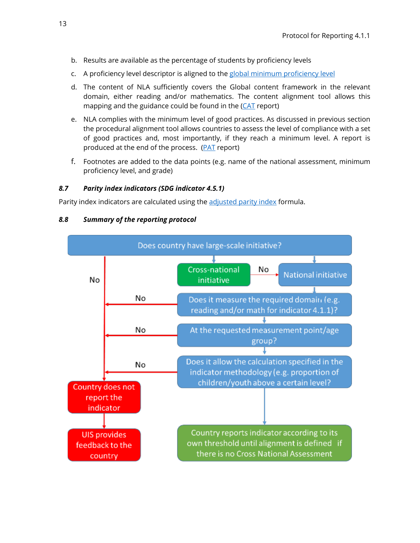- b. Results are available as the percentage of students by proficiency levels
- c. A proficiency level descriptor is aligned to the [global minimum proficiency level](http://gaml.uis.unesco.org/wp-content/uploads/sites/2/2021/03/Minimum-Proficiency-Levels-MPLs.pdf)
- d. The content of NLA sufficiently covers the Global content framework in the relevant domain, either reading and/or mathematics. The content alignment tool allows this mapping and the guidance could be found in the (CAT report)
- e. NLA complies with the minimum level of good practices. As discussed in previous section the procedural alignment tool allows countries to assess the level of compliance with a set of good practices and, most importantly, if they reach a minimum level. A report is produced at the end of the process. (PAT report)
- f. Footnotes are added to the data points (e.g. name of the national assessment, minimum proficiency level, and grade)

#### <span id="page-12-0"></span>*8.7 Parity index indicators (SDG indicator 4.5.1)*

<span id="page-12-1"></span>Parity index indicators are calculated using the [adjusted parity index](http://uis.unesco.org/en/glossary-term/parity-indices-femalemale-ruralurban-bottomtop-wealth-quintiles-and-others-such) formula.

#### *8.8 Summary of the reporting protocol*

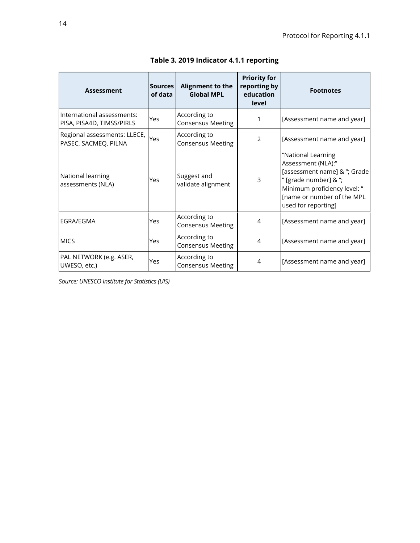<span id="page-13-0"></span>

| <b>Assessment</b>                                       | <b>Sources</b><br>of data                       | Alignment to the<br><b>Global MPL</b>    | <b>Priority for</b><br>reporting by<br>education<br>level | <b>Footnotes</b>                                                                                                                                                                       |
|---------------------------------------------------------|-------------------------------------------------|------------------------------------------|-----------------------------------------------------------|----------------------------------------------------------------------------------------------------------------------------------------------------------------------------------------|
| International assessments:<br>PISA, PISA4D, TIMSS/PIRLS | Yes                                             | According to<br><b>Consensus Meeting</b> | 1                                                         | [Assessment name and year]                                                                                                                                                             |
| Regional assessments: LLECE,<br>PASEC, SACMEQ, PILNA    | Yes                                             | According to<br><b>Consensus Meeting</b> | 2                                                         | [Assessment name and year]                                                                                                                                                             |
| National learning<br>assessments (NLA)                  | Yes                                             | Suggest and<br>validate alignment        | 3                                                         | "National Learning<br>Assessment (NLA):"<br>[assessment name] & "; Grade<br>" [grade number] & ";<br>Minimum proficiency level: "<br>[name or number of the MPL<br>used for reporting] |
| EGRA/EGMA                                               | Yes                                             | According to<br><b>Consensus Meeting</b> | 4                                                         | [Assessment name and year]                                                                                                                                                             |
| <b>MICS</b>                                             | According to<br>Yes<br><b>Consensus Meeting</b> |                                          | 4                                                         | [Assessment name and year]                                                                                                                                                             |
| PAL NETWORK (e.g. ASER,<br>UWESO, etc.)                 | Yes                                             | According to<br><b>Consensus Meeting</b> | 4                                                         | [Assessment name and year]                                                                                                                                                             |

**Table 3. 2019 Indicator 4.1.1 reporting**

*Source: UNESCO Institute for Statistics (UIS)*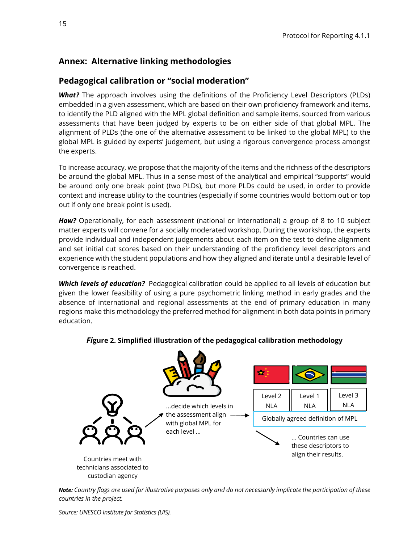# <span id="page-14-0"></span>**Annex: Alternative linking methodologies**

# <span id="page-14-1"></span>**Pedagogical calibration or "social moderation"**

*What?* The approach involves using the definitions of the Proficiency Level Descriptors (PLDs) embedded in a given assessment, which are based on their own proficiency framework and items, to identify the PLD aligned with the MPL global definition and sample items, sourced from various assessments that have been judged by experts to be on either side of that global MPL. The alignment of PLDs (the one of the alternative assessment to be linked to the global MPL) to the global MPL is guided by experts' judgement, but using a rigorous convergence process amongst the experts.

To increase accuracy, we propose that the majority of the items and the richness of the descriptors be around the global MPL. Thus in a sense most of the analytical and empirical "supports" would be around only one break point (two PLDs), but more PLDs could be used, in order to provide context and increase utility to the countries (especially if some countries would bottom out or top out if only one break point is used).

*How?* Operationally, for each assessment (national or international) a group of 8 to 10 subject matter experts will convene for a socially moderated workshop. During the workshop, the experts provide individual and independent judgements about each item on the test to define alignment and set initial cut scores based on their understanding of the proficiency level descriptors and experience with the student populations and how they aligned and iterate until a desirable level of convergence is reached.

*Which levels of education?* Pedagogical calibration could be applied to all levels of education but given the lower feasibility of using a pure psychometric linking method in early grades and the absence of international and regional assessments at the end of primary education in many regions make this methodology the preferred method for alignment in both data points in primary education.



#### *Fi***gure 2. Simplified illustration of the pedagogical calibration methodology**

*Note: Country flags are used for illustrative purposes only and do not necessarily implicate the participation of these countries in the project.*

*Source: UNESCO Institute for Statistics (UIS).*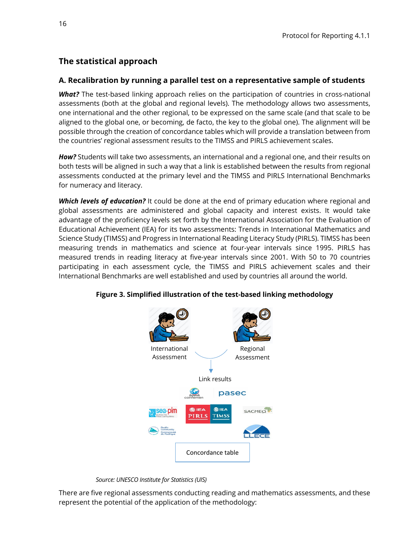# <span id="page-15-0"></span>**The statistical approach**

#### **A. Recalibration by running a parallel test on a representative sample of students**

*What?* The test-based linking approach relies on the participation of countries in cross-national assessments (both at the global and regional levels). The methodology allows two assessments, one international and the other regional, to be expressed on the same scale (and that scale to be aligned to the global one, or becoming, de facto, the key to the global one). The alignment will be possible through the creation of concordance tables which will provide a translation between from the countries' regional assessment results to the TIMSS and PIRLS achievement scales.

*How?* Students will take two assessments, an international and a regional one, and their results on both tests will be aligned in such a way that a link is established between the results from regional assessments conducted at the primary level and the TIMSS and PIRLS International Benchmarks for numeracy and literacy.

*Which levels of education?* It could be done at the end of primary education where regional and global assessments are administered and global capacity and interest exists. It would take advantage of the proficiency levels set forth by the International Association for the Evaluation of Educational Achievement (IEA) for its two assessments: Trends in International Mathematics and Science Study (TIMSS) and Progress in International Reading Literacy Study (PIRLS). TIMSS has been measuring trends in mathematics and science at four-year intervals since 1995. PIRLS has measured trends in reading literacy at five-year intervals since 2001. With 50 to 70 countries participating in each assessment cycle, the TIMSS and PIRLS achievement scales and their International Benchmarks are well established and used by countries all around the world.



**Figure 3. Simplified illustration of the test-based linking methodology**

*Source: UNESCO Institute for Statistics (UIS)*

There are five regional assessments conducting reading and mathematics assessments, and these represent the potential of the application of the methodology: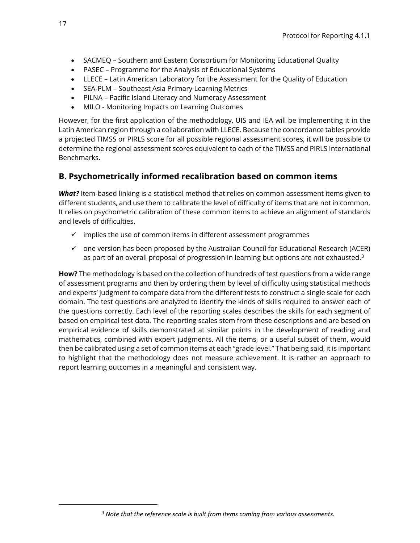- SACMEQ Southern and Eastern Consortium for Monitoring Educational Quality
- PASEC Programme for the Analysis of Educational Systems
- LLECE Latin American Laboratory for the Assessment for the Quality of Education
- SEA‐PLM Southeast Asia Primary Learning Metrics
- PILNA Pacific Island Literacy and Numeracy Assessment
- MILO Monitoring Impacts on Learning Outcomes

However, for the first application of the methodology, UIS and IEA will be implementing it in the Latin American region through a collaboration with LLECE. Because the concordance tables provide a projected TIMSS or PIRLS score for all possible regional assessment scores, it will be possible to determine the regional assessment scores equivalent to each of the TIMSS and PIRLS International Benchmarks.

# **B. Psychometrically informed recalibration based on common items**

*What?* Item-based linking is a statistical method that relies on common assessment items given to different students, and use them to calibrate the level of difficulty of items that are not in common. It relies on psychometric calibration of these common items to achieve an alignment of standards and levels of difficulties.

- $\checkmark$  implies the use of common items in different assessment programmes
- $\checkmark$  one version has been proposed by the Australian Council for Educational Research (ACER) as part of an overall proposal of progression in learning but options are not exhausted. $3$

**How?** The methodology is based on the collection of hundreds of test questions from a wide range of assessment programs and then by ordering them by level of difficulty using statistical methods and experts' judgment to compare data from the different tests to construct a single scale for each domain. The test questions are analyzed to identify the kinds of skills required to answer each of the questions correctly. Each level of the reporting scales describes the skills for each segment of based on empirical test data. The reporting scales stem from these descriptions and are based on empirical evidence of skills demonstrated at similar points in the development of reading and mathematics, combined with expert judgments. All the items, or a useful subset of them, would then be calibrated using a set of common items at each "grade level." That being said, it is important to highlight that the methodology does not measure achievement. It is rather an approach to report learning outcomes in a meaningful and consistent way.

<span id="page-16-0"></span>*<sup>3</sup> Note that the reference scale is built from items coming from various assessments.*